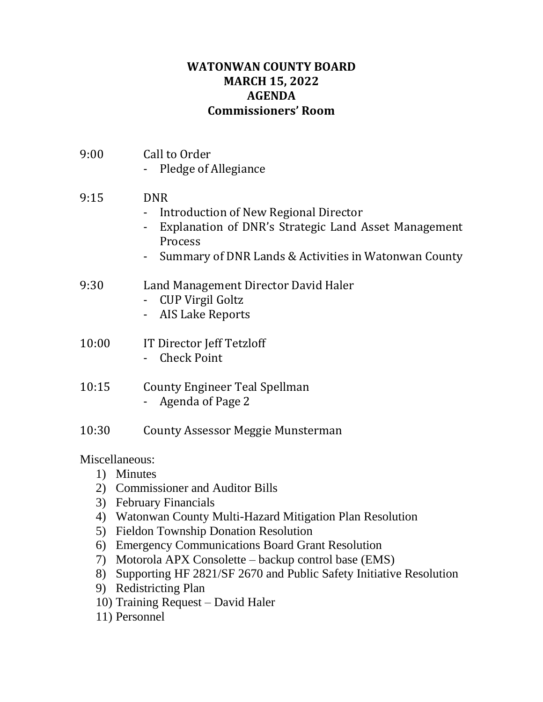## **WATONWAN COUNTY BOARD MARCH 15, 2022 AGENDA Commissioners' Room**

| 9:00           | Call to Order<br>Pledge of Allegiance                                                                                                                                          |
|----------------|--------------------------------------------------------------------------------------------------------------------------------------------------------------------------------|
| 9:15           | <b>DNR</b><br>Introduction of New Regional Director<br>Explanation of DNR's Strategic Land Asset Management<br>Process<br>Summary of DNR Lands & Activities in Watonwan County |
| 9:30           | Land Management Director David Haler<br><b>CUP Virgil Goltz</b><br>- AIS Lake Reports                                                                                          |
| 10:00          | IT Director Jeff Tetzloff<br><b>Check Point</b>                                                                                                                                |
| 10:15          | County Engineer Teal Spellman<br>- Agenda of Page 2                                                                                                                            |
| 10:30          | <b>County Assessor Meggie Munsterman</b>                                                                                                                                       |
| Miscellaneous: |                                                                                                                                                                                |

1) Minutes

- 2) Commissioner and Auditor Bills
- 3) February Financials
- 4) Watonwan County Multi-Hazard Mitigation Plan Resolution
- 5) Fieldon Township Donation Resolution
- 6) Emergency Communications Board Grant Resolution
- 7) Motorola APX Consolette backup control base (EMS)
- 8) Supporting HF 2821/SF 2670 and Public Safety Initiative Resolution
- 9) Redistricting Plan
- 10) Training Request David Haler
- 11) Personnel